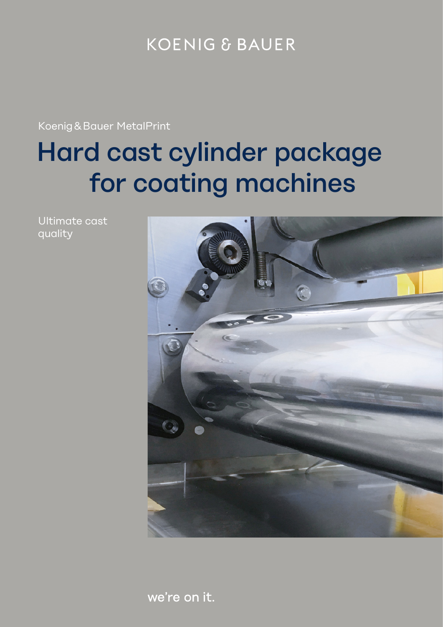## **KOENIG & BAUER**

Koenig & Bauer MetalPrint

# Hard cast cylinder package for coating machines

Ultimate cast quality



we're on it.